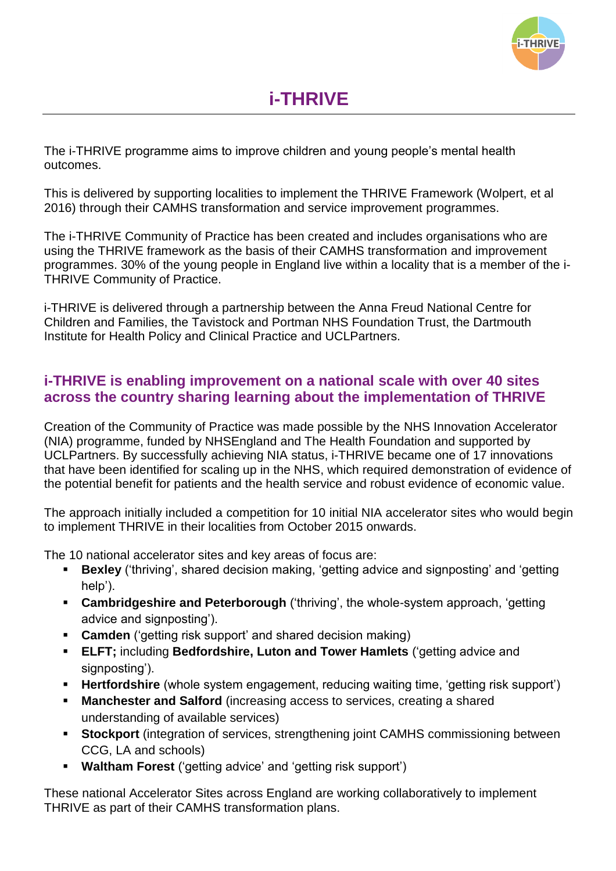

The i-THRIVE programme aims to improve children and young people's mental health outcomes.

This is delivered by supporting localities to implement the THRIVE Framework (Wolpert, et al 2016) through their CAMHS transformation and service improvement programmes.

The i-THRIVE Community of Practice has been created and includes organisations who are using the THRIVE framework as the basis of their CAMHS transformation and improvement programmes. 30% of the young people in England live within a locality that is a member of the i-THRIVE Community of Practice.

i-THRIVE is delivered through a partnership between the Anna Freud National Centre for Children and Families, the Tavistock and Portman NHS Foundation Trust, the Dartmouth Institute for Health Policy and Clinical Practice and UCLPartners.

# **i-THRIVE is enabling improvement on a national scale with over 40 sites across the country sharing learning about the implementation of THRIVE**

Creation of the Community of Practice was made possible by the NHS Innovation Accelerator (NIA) programme, funded by NHSEngland and The Health Foundation and supported by UCLPartners. By successfully achieving NIA status, i-THRIVE became one of 17 innovations that have been identified for scaling up in the NHS, which required demonstration of evidence of the potential benefit for patients and the health service and robust evidence of economic value.

The approach initially included a competition for 10 initial NIA accelerator sites who would begin to implement THRIVE in their localities from October 2015 onwards.

The 10 national accelerator sites and key areas of focus are:

- **Bexley** ('thriving', shared decision making, 'getting advice and signposting' and 'getting help').
- **Cambridgeshire and Peterborough** ('thriving', the whole-system approach, 'getting advice and signposting').
- **Camden** ('getting risk support' and shared decision making)
- **ELFT;** including **Bedfordshire, Luton and Tower Hamlets** ('getting advice and signposting').
- **Hertfordshire** (whole system engagement, reducing waiting time, 'getting risk support')
- **Manchester and Salford** (increasing access to services, creating a shared understanding of available services)
- **Stockport** (integration of services, strengthening joint CAMHS commissioning between CCG, LA and schools)
- **Waltham Forest** ('getting advice' and 'getting risk support')

These national Accelerator Sites across England are working collaboratively to implement THRIVE as part of their CAMHS transformation plans.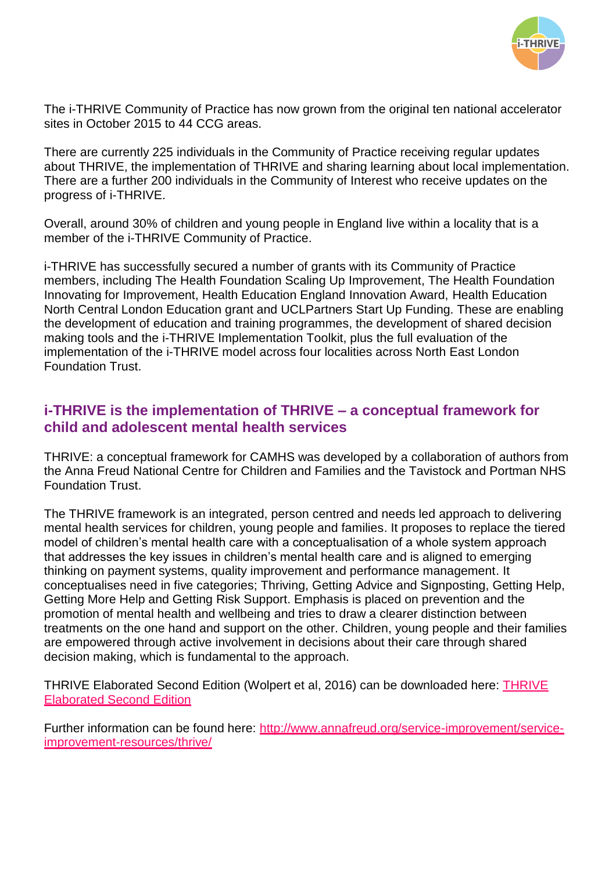

The i-THRIVE Community of Practice has now grown from the original ten national accelerator sites in October 2015 to 44 CCG areas.

There are currently 225 individuals in the Community of Practice receiving regular updates about THRIVE, the implementation of THRIVE and sharing learning about local implementation. There are a further 200 individuals in the Community of Interest who receive updates on the progress of i-THRIVE.

Overall, around 30% of children and young people in England live within a locality that is a member of the i-THRIVE Community of Practice.

i-THRIVE has successfully secured a number of grants with its Community of Practice members, including The Health Foundation Scaling Up Improvement, The Health Foundation Innovating for Improvement, Health Education England Innovation Award, Health Education North Central London Education grant and UCLPartners Start Up Funding. These are enabling the development of education and training programmes, the development of shared decision making tools and the i-THRIVE Implementation Toolkit, plus the full evaluation of the implementation of the i-THRIVE model across four localities across North East London Foundation Trust.

### **i-THRIVE is the implementation of THRIVE – a conceptual framework for child and adolescent mental health services**

THRIVE: a conceptual framework for CAMHS was developed by a collaboration of authors from the Anna Freud National Centre for Children and Families and the Tavistock and Portman NHS Foundation Trust.

The THRIVE framework is an integrated, person centred and needs led approach to delivering mental health services for children, young people and families. It proposes to replace the tiered model of children's mental health care with a conceptualisation of a whole system approach that addresses the key issues in children's mental health care and is aligned to emerging thinking on payment systems, quality improvement and performance management. It conceptualises need in five categories; Thriving, Getting Advice and Signposting, Getting Help, Getting More Help and Getting Risk Support. Emphasis is placed on prevention and the promotion of mental health and wellbeing and tries to draw a clearer distinction between treatments on the one hand and support on the other. Children, young people and their families are empowered through active involvement in decisions about their care through shared decision making, which is fundamental to the approach.

THRIVE Elaborated Second Edition (Wolpert et al, 2016) can be downloaded here: [THRIVE](http://www.annafreud.org/media/4817/thrive-elaborated-2nd-edition.pdf)  [Elaborated Second Edition](http://www.annafreud.org/media/4817/thrive-elaborated-2nd-edition.pdf)

Further information can be found here: [http://www.annafreud.org/service-improvement/service](http://www.annafreud.org/service-improvement/service-improvement-resources/thrive/)[improvement-resources/thrive/](http://www.annafreud.org/service-improvement/service-improvement-resources/thrive/)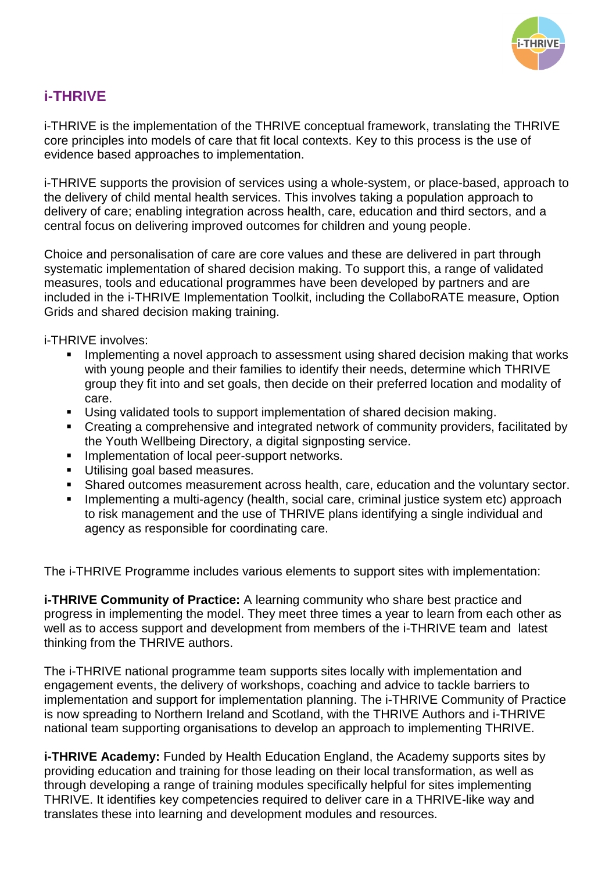

# **i-THRIVE**

i-THRIVE is the implementation of the THRIVE conceptual framework, translating the THRIVE core principles into models of care that fit local contexts. Key to this process is the use of evidence based approaches to implementation.

i-THRIVE supports the provision of services using a whole-system, or place-based, approach to the delivery of child mental health services. This involves taking a population approach to delivery of care; enabling integration across health, care, education and third sectors, and a central focus on delivering improved outcomes for children and young people.

Choice and personalisation of care are core values and these are delivered in part through systematic implementation of shared decision making. To support this, a range of validated measures, tools and educational programmes have been developed by partners and are included in the i-THRIVE Implementation Toolkit, including the CollaboRATE measure, Option Grids and shared decision making training.

i-THRIVE involves:

- **IMPLEMENTIME:** Implementing a novel approach to assessment using shared decision making that works with young people and their families to identify their needs, determine which THRIVE group they fit into and set goals, then decide on their preferred location and modality of care.
- Using validated tools to support implementation of shared decision making.
- Creating a comprehensive and integrated network of community providers, facilitated by the Youth Wellbeing Directory, a digital signposting service.
- **Implementation of local peer-support networks.**
- **Utilising goal based measures.**
- Shared outcomes measurement across health, care, education and the voluntary sector.
- **Implementing a multi-agency (health, social care, criminal justice system etc) approach** to risk management and the use of THRIVE plans identifying a single individual and agency as responsible for coordinating care.

The i-THRIVE Programme includes various elements to support sites with implementation:

*i-THRIVE Community of Practice: A learning community who share best practice and* progress in implementing the model. They meet three times a year to learn from each other as well as to access support and development from members of the i-THRIVE team and latest thinking from the THRIVE authors.

The i-THRIVE national programme team supports sites locally with implementation and engagement events, the delivery of workshops, coaching and advice to tackle barriers to implementation and support for implementation planning. The i-THRIVE Community of Practice is now spreading to Northern Ireland and Scotland, with the THRIVE Authors and i-THRIVE national team supporting organisations to develop an approach to implementing THRIVE.

*i-THRIVE Academy: Funded by Health Education England, the Academy supports sites by* providing education and training for those leading on their local transformation, as well as through developing a range of training modules specifically helpful for sites implementing THRIVE. It identifies key competencies required to deliver care in a THRIVE-like way and translates these into learning and development modules and resources.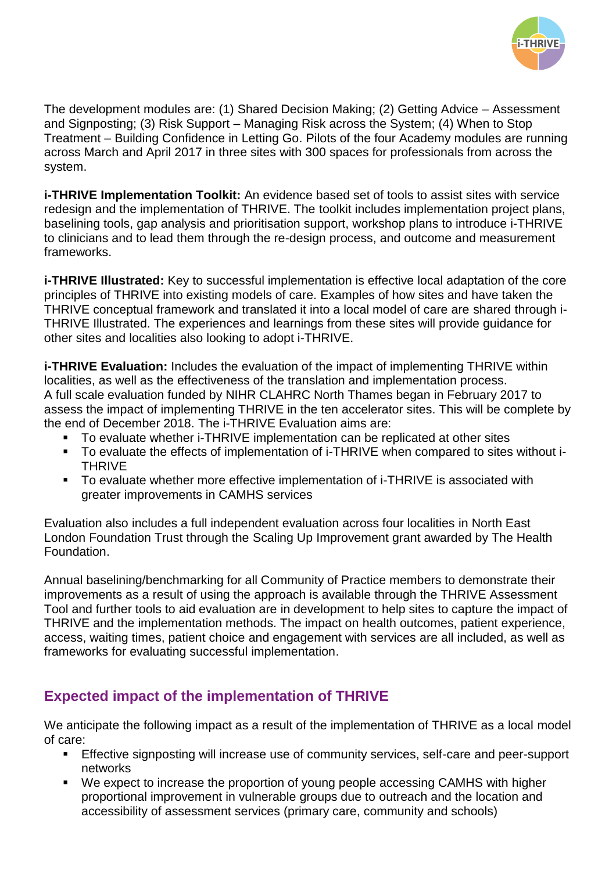

The development modules are: (1) Shared Decision Making; (2) Getting Advice – Assessment and Signposting; (3) Risk Support – Managing Risk across the System; (4) When to Stop Treatment – Building Confidence in Letting Go. Pilots of the four Academy modules are running across March and April 2017 in three sites with 300 spaces for professionals from across the system.

**i-THRIVE Implementation Toolkit:** An evidence based set of tools to assist sites with service redesign and the implementation of THRIVE. The toolkit includes implementation project plans, baselining tools, gap analysis and prioritisation support, workshop plans to introduce i-THRIVE to clinicians and to lead them through the re-design process, and outcome and measurement frameworks.

**i-THRIVE Illustrated:** Key to successful implementation is effective local adaptation of the core principles of THRIVE into existing models of care. Examples of how sites and have taken the THRIVE conceptual framework and translated it into a local model of care are shared through i-THRIVE Illustrated. The experiences and learnings from these sites will provide guidance for other sites and localities also looking to adopt i-THRIVE.

**i-THRIVE Evaluation:** Includes the evaluation of the impact of implementing THRIVE within localities, as well as the effectiveness of the translation and implementation process. A full scale evaluation funded by NIHR CLAHRC North Thames began in February 2017 to assess the impact of implementing THRIVE in the ten accelerator sites. This will be complete by the end of December 2018. The i-THRIVE Evaluation aims are:

- To evaluate whether i-THRIVE implementation can be replicated at other sites
- To evaluate the effects of implementation of i-THRIVE when compared to sites without i-THRIVE
- To evaluate whether more effective implementation of i-THRIVE is associated with greater improvements in CAMHS services

Evaluation also includes a full independent evaluation across four localities in North East London Foundation Trust through the Scaling Up Improvement grant awarded by The Health Foundation.

Annual baselining/benchmarking for all Community of Practice members to demonstrate their improvements as a result of using the approach is available through the THRIVE Assessment Tool and further tools to aid evaluation are in development to help sites to capture the impact of THRIVE and the implementation methods. The impact on health outcomes, patient experience, access, waiting times, patient choice and engagement with services are all included, as well as frameworks for evaluating successful implementation.

# **Expected impact of the implementation of THRIVE**

We anticipate the following impact as a result of the implementation of THRIVE as a local model of care:

- **Effective signposting will increase use of community services, self-care and peer-support** networks
- We expect to increase the proportion of young people accessing CAMHS with higher proportional improvement in vulnerable groups due to outreach and the location and accessibility of assessment services (primary care, community and schools)